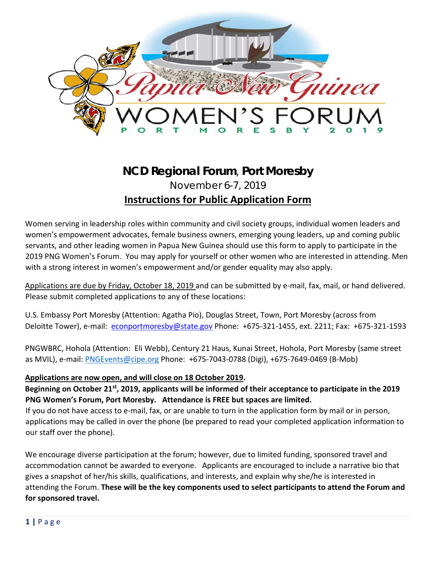

## **NCD Regional Forum**, **Port Moresby** November 6-7, 2019

# **Instructions for Public Application Form**

Women serving in leadership roles within community and civil society groups, individual women leaders and women's empowerment advocates, female business owners, emerging young leaders, up and coming public servants, and other leading women in Papua New Guinea should use this form to apply to participate in the 2019 PNG Women's Forum. You may apply for yourself or other women who are interested in attending. Men with a strong interest in women's empowerment and/or gender equality may also apply.

Applications are due by Friday, October 18, 2019 and can be submitted by e-mail, fax, mail, or hand delivered. Please submit completed applications to any of these locations:

U.S. Embassy Port Moresby (Attention: Agatha Pio), Douglas Street, Town, Port Moresby (across from Deloitte Tower), e-mail: econportmoresby@state.gov Phone: +675-321-1455, ext. 2211; Fax: +675-321-1593

PNGWBRC, Hohola (Attention: Eli Webb), Century 21 Haus, Kunai Street, Hohola, Port Moresby (same street as MVIL), e-mail: PNGEvents@cipe.org Phone: +675-7043-0788 (Digi), +675-7649-0469 (B-Mob)

#### **Applications are now open, and will close on 18 October 2019.**

**Beginning on October 21st, 2019, applicants will be informed of their acceptance to participate in the 2019 PNG Women's Forum, Port Moresby. Attendance is FREE but spaces are limited.** 

If you do not have access to e-mail, fax, or are unable to turn in the application form by mail or in person, applications may be called in over the phone (be prepared to read your completed application information to our staff over the phone).

We encourage diverse participation at the forum; however, due to limited funding, sponsored travel and accommodation cannot be awarded to everyone. Applicants are encouraged to include a narrative bio that gives a snapshot of her/his skills, qualifications, and interests, and explain why she/he is interested in attending the Forum. **These will be the key components used to select participants to attend the Forum and for sponsored travel.**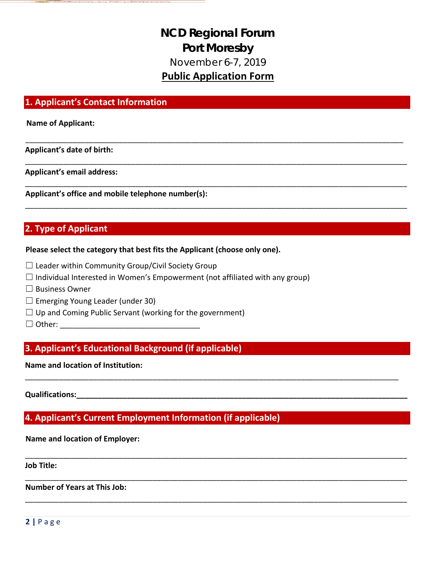# **NCD Regional Forum Port Moresby** November 6-7, 2019 **Public Application Form**

\_\_\_\_\_\_\_\_\_\_\_\_\_\_\_\_\_\_\_\_\_\_\_\_\_\_\_\_\_\_\_\_\_\_\_\_\_\_\_\_\_\_\_\_\_\_\_\_\_\_\_\_\_\_\_\_\_\_\_\_\_\_\_\_\_\_\_\_\_\_\_\_\_\_\_\_\_\_\_\_\_\_\_\_\_\_\_\_\_

\_\_\_\_\_\_\_\_\_\_\_\_\_\_\_\_\_\_\_\_\_\_\_\_\_\_\_\_\_\_\_\_\_\_\_\_\_\_\_\_\_\_\_\_\_\_\_\_\_\_\_\_\_\_\_\_\_\_\_\_\_\_\_\_\_\_\_\_\_\_\_\_\_\_\_\_\_\_\_\_\_\_\_\_\_\_\_\_\_\_

\_\_\_\_\_\_\_\_\_\_\_\_\_\_\_\_\_\_\_\_\_\_\_\_\_\_\_\_\_\_\_\_\_\_\_\_\_\_\_\_\_\_\_\_\_\_\_\_\_\_\_\_\_\_\_\_\_\_\_\_\_\_\_\_\_\_\_\_\_\_\_\_\_\_\_\_\_\_\_\_\_\_\_\_\_\_\_\_\_\_

\_\_\_\_\_\_\_\_\_\_\_\_\_\_\_\_\_\_\_\_\_\_\_\_\_\_\_\_\_\_\_\_\_\_\_\_\_\_\_\_\_\_\_\_\_\_\_\_\_\_\_\_\_\_\_\_\_\_\_\_\_\_\_\_\_\_\_\_\_\_\_\_\_\_\_\_\_\_\_\_\_\_\_\_\_\_\_\_\_\_

\_\_\_\_\_\_\_\_\_\_\_\_\_\_\_\_\_\_\_\_\_\_\_\_\_\_\_\_\_\_\_\_\_\_\_\_\_\_\_\_\_\_\_\_\_\_\_\_\_\_\_\_\_\_\_\_\_\_\_\_\_\_\_\_\_\_\_\_\_\_\_\_\_\_\_\_\_\_\_\_\_\_\_\_\_\_\_\_

\_\_\_\_\_\_\_\_\_\_\_\_\_\_\_\_\_\_\_\_\_\_\_\_\_\_\_\_\_\_\_\_\_\_\_\_\_\_\_\_\_\_\_\_\_\_\_\_\_\_\_\_\_\_\_\_\_\_\_\_\_\_\_\_\_\_\_\_\_\_\_\_\_\_\_\_\_\_\_\_\_\_\_\_\_\_\_\_\_\_

\_\_\_\_\_\_\_\_\_\_\_\_\_\_\_\_\_\_\_\_\_\_\_\_\_\_\_\_\_\_\_\_\_\_\_\_\_\_\_\_\_\_\_\_\_\_\_\_\_\_\_\_\_\_\_\_\_\_\_\_\_\_\_\_\_\_\_\_\_\_\_\_\_\_\_\_\_\_\_\_\_\_\_\_\_\_\_\_\_\_

\_\_\_\_\_\_\_\_\_\_\_\_\_\_\_\_\_\_\_\_\_\_\_\_\_\_\_\_\_\_\_\_\_\_\_\_\_\_\_\_\_\_\_\_\_\_\_\_\_\_\_\_\_\_\_\_\_\_\_\_\_\_\_\_\_\_\_\_\_\_\_\_\_\_\_\_\_\_\_\_\_\_\_\_\_\_\_\_\_\_

#### **1. Applicant's Contact Information**

**Name of Applicant:** 

**Applicant's date of birth:** 

**Applicant's email address:** 

**Applicant's office and mobile telephone number(s):** 

## **2. Type of Applicant**

#### **Please select the category that best fits the Applicant (choose only one).**

- $\Box$  Leader within Community Group/Civil Society Group
- $\Box$  Individual Interested in Women's Empowerment (not affiliated with any group)
- □ Business Owner
- $\Box$  Emerging Young Leader (under 30)
- $\Box$  Up and Coming Public Servant (working for the government)
- $\Box$  Other:  $\Box$

#### **3. Applicant's Educational Background (if applicable)**

**Name and location of Institution:** 

**Qualifications:** 

#### **4. Applicant's Current Employment Information (if applicable)**

#### **Name and location of Employer:**

**Job Title:** 

**Number of Years at This Job:**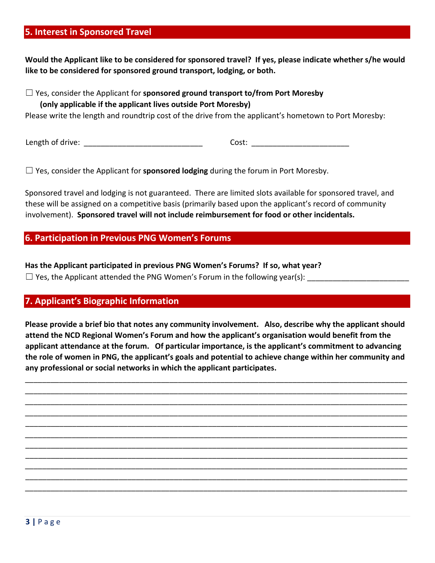#### **5. Interest in Sponsored Travel**

**Would the Applicant like to be considered for sponsored travel? If yes, please indicate whether s/he would like to be considered for sponsored ground transport, lodging, or both.** 

☐ Yes, consider the Applicant for **sponsored ground transport to/from Port Moresby (only applicable if the applicant lives outside Port Moresby)**

Please write the length and roundtrip cost of the drive from the applicant's hometown to Port Moresby:

Length of drive: The cost: Englished Cost: Cost: Cost: Zength of drive: The cost: Zength of drive: The cost: Z

☐ Yes, consider the Applicant for **sponsored lodging** during the forum in Port Moresby.

Sponsored travel and lodging is not guaranteed. There are limited slots available for sponsored travel, and these will be assigned on a competitive basis (primarily based upon the applicant's record of community involvement). **Sponsored travel will not include reimbursement for food or other incidentals.** 

#### **6. Participation in Previous PNG Women's Forums**

**Has the Applicant participated in previous PNG Women's Forums? If so, what year?**   $\Box$  Yes, the Applicant attended the PNG Women's Forum in the following year(s):

#### **7. Applicant's Biographic Information**

**Please provide a brief bio that notes any community involvement. Also, describe why the applicant should attend the NCD Regional Women's Forum and how the applicant's organisation would benefit from the applicant attendance at the forum. Of particular importance, is the applicant's commitment to advancing the role of women in PNG, the applicant's goals and potential to achieve change within her community and any professional or social networks in which the applicant participates.** 

\_\_\_\_\_\_\_\_\_\_\_\_\_\_\_\_\_\_\_\_\_\_\_\_\_\_\_\_\_\_\_\_\_\_\_\_\_\_\_\_\_\_\_\_\_\_\_\_\_\_\_\_\_\_\_\_\_\_\_\_\_\_\_\_\_\_\_\_\_\_\_\_\_\_\_\_\_\_\_\_\_\_\_\_\_\_\_\_\_\_ \_\_\_\_\_\_\_\_\_\_\_\_\_\_\_\_\_\_\_\_\_\_\_\_\_\_\_\_\_\_\_\_\_\_\_\_\_\_\_\_\_\_\_\_\_\_\_\_\_\_\_\_\_\_\_\_\_\_\_\_\_\_\_\_\_\_\_\_\_\_\_\_\_\_\_\_\_\_\_\_\_\_\_\_\_\_\_\_\_\_ \_\_\_\_\_\_\_\_\_\_\_\_\_\_\_\_\_\_\_\_\_\_\_\_\_\_\_\_\_\_\_\_\_\_\_\_\_\_\_\_\_\_\_\_\_\_\_\_\_\_\_\_\_\_\_\_\_\_\_\_\_\_\_\_\_\_\_\_\_\_\_\_\_\_\_\_\_\_\_\_\_\_\_\_\_\_\_\_\_\_ \_\_\_\_\_\_\_\_\_\_\_\_\_\_\_\_\_\_\_\_\_\_\_\_\_\_\_\_\_\_\_\_\_\_\_\_\_\_\_\_\_\_\_\_\_\_\_\_\_\_\_\_\_\_\_\_\_\_\_\_\_\_\_\_\_\_\_\_\_\_\_\_\_\_\_\_\_\_\_\_\_\_\_\_\_\_\_\_\_\_ \_\_\_\_\_\_\_\_\_\_\_\_\_\_\_\_\_\_\_\_\_\_\_\_\_\_\_\_\_\_\_\_\_\_\_\_\_\_\_\_\_\_\_\_\_\_\_\_\_\_\_\_\_\_\_\_\_\_\_\_\_\_\_\_\_\_\_\_\_\_\_\_\_\_\_\_\_\_\_\_\_\_\_\_\_\_\_\_\_\_ \_\_\_\_\_\_\_\_\_\_\_\_\_\_\_\_\_\_\_\_\_\_\_\_\_\_\_\_\_\_\_\_\_\_\_\_\_\_\_\_\_\_\_\_\_\_\_\_\_\_\_\_\_\_\_\_\_\_\_\_\_\_\_\_\_\_\_\_\_\_\_\_\_\_\_\_\_\_\_\_\_\_\_\_\_\_\_\_\_\_ \_\_\_\_\_\_\_\_\_\_\_\_\_\_\_\_\_\_\_\_\_\_\_\_\_\_\_\_\_\_\_\_\_\_\_\_\_\_\_\_\_\_\_\_\_\_\_\_\_\_\_\_\_\_\_\_\_\_\_\_\_\_\_\_\_\_\_\_\_\_\_\_\_\_\_\_\_\_\_\_\_\_\_\_\_\_\_\_\_\_ \_\_\_\_\_\_\_\_\_\_\_\_\_\_\_\_\_\_\_\_\_\_\_\_\_\_\_\_\_\_\_\_\_\_\_\_\_\_\_\_\_\_\_\_\_\_\_\_\_\_\_\_\_\_\_\_\_\_\_\_\_\_\_\_\_\_\_\_\_\_\_\_\_\_\_\_\_\_\_\_\_\_\_\_\_\_\_\_\_\_ \_\_\_\_\_\_\_\_\_\_\_\_\_\_\_\_\_\_\_\_\_\_\_\_\_\_\_\_\_\_\_\_\_\_\_\_\_\_\_\_\_\_\_\_\_\_\_\_\_\_\_\_\_\_\_\_\_\_\_\_\_\_\_\_\_\_\_\_\_\_\_\_\_\_\_\_\_\_\_\_\_\_\_\_\_\_\_\_\_\_ \_\_\_\_\_\_\_\_\_\_\_\_\_\_\_\_\_\_\_\_\_\_\_\_\_\_\_\_\_\_\_\_\_\_\_\_\_\_\_\_\_\_\_\_\_\_\_\_\_\_\_\_\_\_\_\_\_\_\_\_\_\_\_\_\_\_\_\_\_\_\_\_\_\_\_\_\_\_\_\_\_\_\_\_\_\_\_\_\_\_ \_\_\_\_\_\_\_\_\_\_\_\_\_\_\_\_\_\_\_\_\_\_\_\_\_\_\_\_\_\_\_\_\_\_\_\_\_\_\_\_\_\_\_\_\_\_\_\_\_\_\_\_\_\_\_\_\_\_\_\_\_\_\_\_\_\_\_\_\_\_\_\_\_\_\_\_\_\_\_\_\_\_\_\_\_\_\_\_\_\_